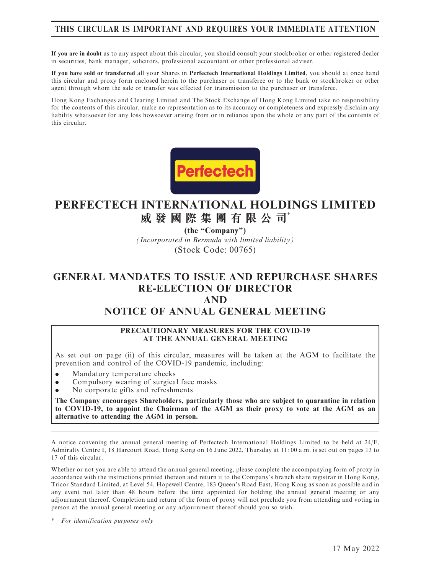# THIS CIRCULAR IS IMPORTANT AND REQUIRES YOUR IMMEDIATE ATTENTION

If you are in doubt as to any aspect about this circular, you should consult your stockbroker or other registered dealer in securities, bank manager, solicitors, professional accountant or other professional adviser.

If you have sold or transferred all your Shares in Perfectech International Holdings Limited, you should at once hand this circular and proxy form enclosed herein to the purchaser or transferee or to the bank or stockbroker or other agent through whom the sale or transfer was effected for transmission to the purchaser or transferee.

Hong Kong Exchanges and Clearing Limited and The Stock Exchange of Hong Kong Limited take no responsibility for the contents of this circular, make no representation as to its accuracy or completeness and expressly disclaim any liability whatsoever for any loss howsoever arising from or in reliance upon the whole or any part of the contents of this circular.



# **PERFECTECH INTERNATIONAL HOLDINGS LIMITED 威發國際集團有限公司**\*

**(the "Company")**

*(Incorporated in Bermuda with limited liability)* (Stock Code: 00765)

# GENERAL MANDATES TO ISSUE AND REPURCHASE SHARES RE-ELECTION OF DIRECTOR AND NOTICE OF ANNUAL GENERAL MEETING

#### PRECAUTIONARY MEASURES FOR THE COVID-19 AT THE ANNUAL GENERAL MEETING

As set out on page (ii) of this circular, measures will be taken at the AGM to facilitate the prevention and control of the COVID-19 pandemic, including:

- . Mandatory temperature checks
- . Compulsory wearing of surgical face masks
- . No corporate gifts and refreshments

The Company encourages Shareholders, particularly those who are subject to quarantine in relation to COVID-19, to appoint the Chairman of the AGM as their proxy to vote at the AGM as an alternative to attending the AGM in person.

A notice convening the annual general meeting of Perfectech International Holdings Limited to be held at 24/F, Admiralty Centre I, 18 Harcourt Road, Hong Kong on 16 June 2022, Thursday at 11: 00 a.m. is set out on pages 13 to 17 of this circular.

Whether or not you are able to attend the annual general meeting, please complete the accompanying form of proxy in accordance with the instructions printed thereon and return it to the Company's branch share registrar in Hong Kong, Tricor Standard Limited, at Level 54, Hopewell Centre, 183 Queen's Road East, Hong Kong as soon as possible and in any event not later than 48 hours before the time appointed for holding the annual general meeting or any adjournment thereof. Completion and return of the form of proxy will not preclude you from attending and voting in person at the annual general meeting or any adjournment thereof should you so wish.

For identification purposes only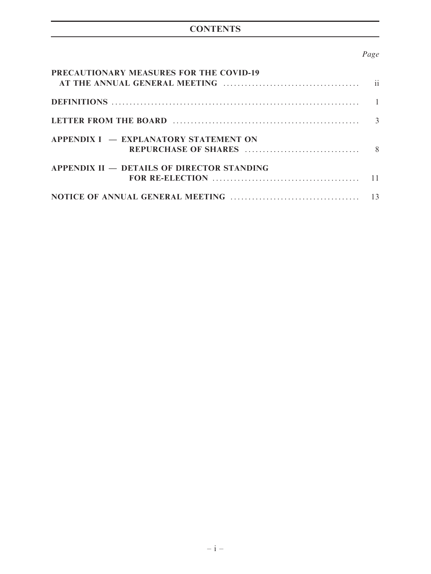# **CONTENTS**

# Page

| PRECAUTIONARY MEASURES FOR THE COVID-19           |  |
|---------------------------------------------------|--|
|                                                   |  |
|                                                   |  |
| APPENDIX I – EXPLANATORY STATEMENT ON             |  |
| <b>APPENDIX II – DETAILS OF DIRECTOR STANDING</b> |  |
|                                                   |  |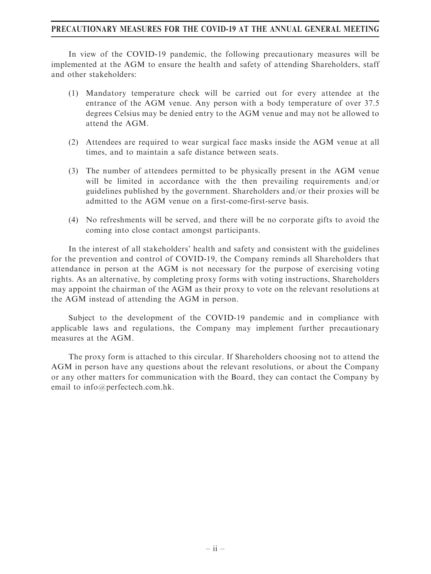### PRECAUTIONARY MEASURES FOR THE COVID-19 AT THE ANNUAL GENERAL MEETING

In view of the COVID-19 pandemic, the following precautionary measures will be implemented at the AGM to ensure the health and safety of attending Shareholders, staff and other stakeholders:

- (1) Mandatory temperature check will be carried out for every attendee at the entrance of the AGM venue. Any person with a body temperature of over 37.5 degrees Celsius may be denied entry to the AGM venue and may not be allowed to attend the AGM.
- (2) Attendees are required to wear surgical face masks inside the AGM venue at all times, and to maintain a safe distance between seats.
- (3) The number of attendees permitted to be physically present in the AGM venue will be limited in accordance with the then prevailing requirements and/or guidelines published by the government. Shareholders and/or their proxies will be admitted to the AGM venue on a first-come-first-serve basis.
- (4) No refreshments will be served, and there will be no corporate gifts to avoid the coming into close contact amongst participants.

In the interest of all stakeholders' health and safety and consistent with the guidelines for the prevention and control of COVID-19, the Company reminds all Shareholders that attendance in person at the AGM is not necessary for the purpose of exercising voting rights. As an alternative, by completing proxy forms with voting instructions, Shareholders may appoint the chairman of the AGM as their proxy to vote on the relevant resolutions at the AGM instead of attending the AGM in person.

Subject to the development of the COVID-19 pandemic and in compliance with applicable laws and regulations, the Company may implement further precautionary measures at the AGM.

The proxy form is attached to this circular. If Shareholders choosing not to attend the AGM in person have any questions about the relevant resolutions, or about the Company or any other matters for communication with the Board, they can contact the Company by email to info@perfectech.com.hk.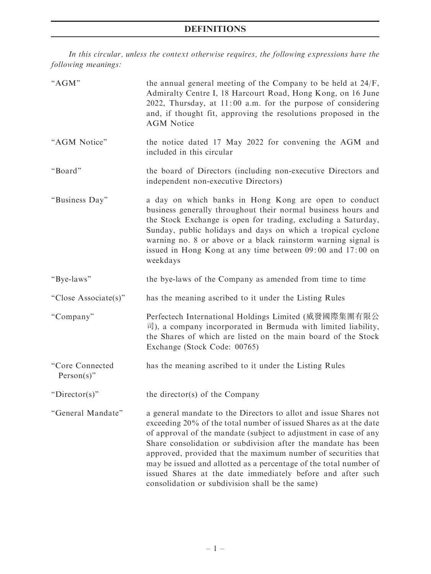# DEFINITIONS

In this circular, unless the context otherwise requires, the following expressions have the following meanings:

| "AGM"                            | the annual general meeting of the Company to be held at 24/F,<br>Admiralty Centre I, 18 Harcourt Road, Hong Kong, on 16 June<br>2022, Thursday, at 11:00 a.m. for the purpose of considering<br>and, if thought fit, approving the resolutions proposed in the<br><b>AGM</b> Notice                                                                                                                                                                                                                                                |  |  |  |
|----------------------------------|------------------------------------------------------------------------------------------------------------------------------------------------------------------------------------------------------------------------------------------------------------------------------------------------------------------------------------------------------------------------------------------------------------------------------------------------------------------------------------------------------------------------------------|--|--|--|
| "AGM Notice"                     | the notice dated 17 May 2022 for convening the AGM and<br>included in this circular                                                                                                                                                                                                                                                                                                                                                                                                                                                |  |  |  |
| "Board"                          | the board of Directors (including non-executive Directors and<br>independent non-executive Directors)                                                                                                                                                                                                                                                                                                                                                                                                                              |  |  |  |
| "Business Day"                   | a day on which banks in Hong Kong are open to conduct<br>business generally throughout their normal business hours and<br>the Stock Exchange is open for trading, excluding a Saturday,<br>Sunday, public holidays and days on which a tropical cyclone<br>warning no. 8 or above or a black rainstorm warning signal is<br>issued in Hong Kong at any time between 09:00 and 17:00 on<br>weekdays                                                                                                                                 |  |  |  |
| "Bye-laws"                       | the bye-laws of the Company as amended from time to time                                                                                                                                                                                                                                                                                                                                                                                                                                                                           |  |  |  |
| "Close Associate(s)"             | has the meaning ascribed to it under the Listing Rules                                                                                                                                                                                                                                                                                                                                                                                                                                                                             |  |  |  |
| "Company"                        | Perfectech International Holdings Limited (威發國際集團有限公<br>$\overline{\mathbb{E}}$ ), a company incorporated in Bermuda with limited liability,<br>the Shares of which are listed on the main board of the Stock<br>Exchange (Stock Code: 00765)                                                                                                                                                                                                                                                                                      |  |  |  |
| "Core Connected<br>$Person(s)$ " | has the meaning ascribed to it under the Listing Rules                                                                                                                                                                                                                                                                                                                                                                                                                                                                             |  |  |  |
| " $Director(s)$ "                | the director(s) of the Company                                                                                                                                                                                                                                                                                                                                                                                                                                                                                                     |  |  |  |
| "General Mandate"                | a general mandate to the Directors to allot and issue Shares not<br>exceeding 20% of the total number of issued Shares as at the date<br>of approval of the mandate (subject to adjustment in case of any<br>Share consolidation or subdivision after the mandate has been<br>approved, provided that the maximum number of securities that<br>may be issued and allotted as a percentage of the total number of<br>issued Shares at the date immediately before and after such<br>consolidation or subdivision shall be the same) |  |  |  |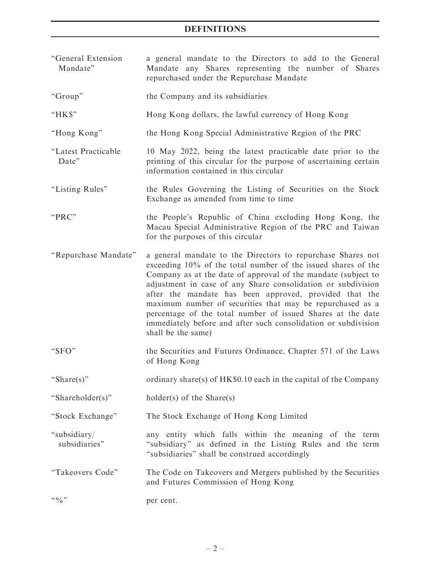# DEFINITIONS

| "General Extension<br>Mandate" | a general mandate to the Directors to add to the General<br>Mandate any Shares representing the number of Shares<br>repurchased under the Repurchase Mandate                                                                                                                                                                                                                                                                                                                                                                                |  |  |  |  |
|--------------------------------|---------------------------------------------------------------------------------------------------------------------------------------------------------------------------------------------------------------------------------------------------------------------------------------------------------------------------------------------------------------------------------------------------------------------------------------------------------------------------------------------------------------------------------------------|--|--|--|--|
| "Group"                        | the Company and its subsidiaries                                                                                                                                                                                                                                                                                                                                                                                                                                                                                                            |  |  |  |  |
| "HK\$"                         | Hong Kong dollars, the lawful currency of Hong Kong                                                                                                                                                                                                                                                                                                                                                                                                                                                                                         |  |  |  |  |
| "Hong Kong"                    | the Hong Kong Special Administrative Region of the PRC                                                                                                                                                                                                                                                                                                                                                                                                                                                                                      |  |  |  |  |
| "Latest Practicable<br>Date"   | 10 May 2022, being the latest practicable date prior to the<br>printing of this circular for the purpose of ascertaining certain<br>information contained in this circular                                                                                                                                                                                                                                                                                                                                                                  |  |  |  |  |
| "Listing Rules"                | the Rules Governing the Listing of Securities on the Stock<br>Exchange as amended from time to time                                                                                                                                                                                                                                                                                                                                                                                                                                         |  |  |  |  |
| "PRC"                          | the People's Republic of China excluding Hong Kong, the<br>Macau Special Administrative Region of the PRC and Taiwan<br>for the purposes of this circular                                                                                                                                                                                                                                                                                                                                                                                   |  |  |  |  |
| "Repurchase Mandate"           | a general mandate to the Directors to repurchase Shares not<br>exceeding 10% of the total number of the issued shares of the<br>Company as at the date of approval of the mandate (subject to<br>adjustment in case of any Share consolidation or subdivision<br>after the mandate has been approved, provided that the<br>maximum number of securities that may be repurchased as a<br>percentage of the total number of issued Shares at the date<br>immediately before and after such consolidation or subdivision<br>shall be the same) |  |  |  |  |
| "SFO"                          | the Securities and Futures Ordinance, Chapter 571 of the Laws<br>of Hong Kong                                                                                                                                                                                                                                                                                                                                                                                                                                                               |  |  |  |  |
| "Share(s)"                     | ordinary share(s) of HK\$0.10 each in the capital of the Company                                                                                                                                                                                                                                                                                                                                                                                                                                                                            |  |  |  |  |
| "Shareholder(s)"               | $holder(s)$ of the Share(s)                                                                                                                                                                                                                                                                                                                                                                                                                                                                                                                 |  |  |  |  |
| "Stock Exchange"               | The Stock Exchange of Hong Kong Limited                                                                                                                                                                                                                                                                                                                                                                                                                                                                                                     |  |  |  |  |
| "subsidiary/<br>subsidiaries"  | any entity which falls within the meaning of the term<br>"subsidiary" as defined in the Listing Rules and the term<br>"subsidiaries" shall be construed accordingly                                                                                                                                                                                                                                                                                                                                                                         |  |  |  |  |
| "Takeovers Code"               | The Code on Takeovers and Mergers published by the Securities<br>and Futures Commission of Hong Kong                                                                                                                                                                                                                                                                                                                                                                                                                                        |  |  |  |  |
| $\lq\lq 0$ $\lq\lq$            | per cent.                                                                                                                                                                                                                                                                                                                                                                                                                                                                                                                                   |  |  |  |  |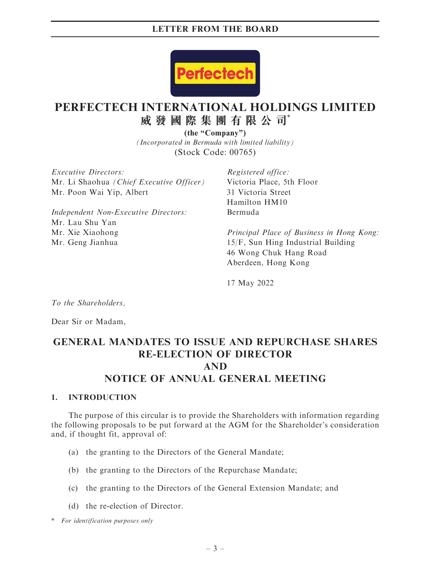

# **PERFECTECH INTERNATIONAL HOLDINGS LIMITED 威發國際集團有限公司**\*

*(Incorporated in Bermuda with limited liability)* (Stock Code: 00765) **(the "Company")**

Executive Directors: Mr. Li Shaohua (Chief Executive Officer) Mr. Poon Wai Yip, Albert

Independent Non-Executive Directors: Mr. Lau Shu Yan Mr. Xie Xiaohong Mr. Geng Jianhua

Registered office: Victoria Place, 5th Floor 31 Victoria Street Hamilton HM10 Bermuda

Principal Place of Business in Hong Kong: 15/F, Sun Hing Industrial Building 46 Wong Chuk Hang Road Aberdeen, Hong Kong

17 May 2022

To the Shareholders,

Dear Sir or Madam,

# GENERAL MANDATES TO ISSUE AND REPURCHASE SHARES RE-ELECTION OF DIRECTOR AND NOTICE OF ANNUAL GENERAL MEETING

#### 1. INTRODUCTION

The purpose of this circular is to provide the Shareholders with information regarding the following proposals to be put forward at the AGM for the Shareholder's consideration and, if thought fit, approval of:

- (a) the granting to the Directors of the General Mandate;
- (b) the granting to the Directors of the Repurchase Mandate;
- (c) the granting to the Directors of the General Extension Mandate; and
- (d) the re-election of Director.

\* For identification purposes only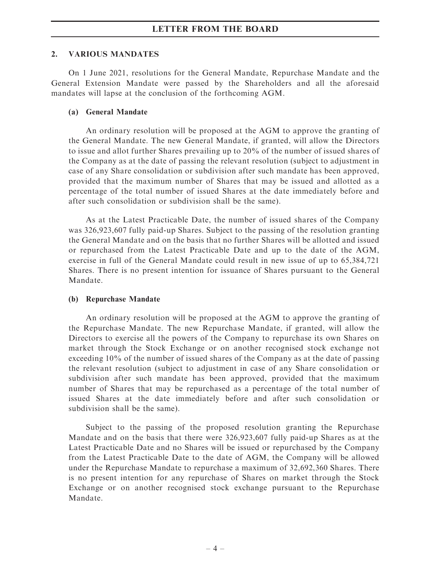#### 2. VARIOUS MANDATES

On 1 June 2021, resolutions for the General Mandate, Repurchase Mandate and the General Extension Mandate were passed by the Shareholders and all the aforesaid mandates will lapse at the conclusion of the forthcoming AGM.

#### (a) General Mandate

An ordinary resolution will be proposed at the AGM to approve the granting of the General Mandate. The new General Mandate, if granted, will allow the Directors to issue and allot further Shares prevailing up to 20% of the number of issued shares of the Company as at the date of passing the relevant resolution (subject to adjustment in case of any Share consolidation or subdivision after such mandate has been approved, provided that the maximum number of Shares that may be issued and allotted as a percentage of the total number of issued Shares at the date immediately before and after such consolidation or subdivision shall be the same).

As at the Latest Practicable Date, the number of issued shares of the Company was 326,923,607 fully paid-up Shares. Subject to the passing of the resolution granting the General Mandate and on the basis that no further Shares will be allotted and issued or repurchased from the Latest Practicable Date and up to the date of the AGM, exercise in full of the General Mandate could result in new issue of up to 65,384,721 Shares. There is no present intention for issuance of Shares pursuant to the General Mandate.

## (b) Repurchase Mandate

An ordinary resolution will be proposed at the AGM to approve the granting of the Repurchase Mandate. The new Repurchase Mandate, if granted, will allow the Directors to exercise all the powers of the Company to repurchase its own Shares on market through the Stock Exchange or on another recognised stock exchange not exceeding 10% of the number of issued shares of the Company as at the date of passing the relevant resolution (subject to adjustment in case of any Share consolidation or subdivision after such mandate has been approved, provided that the maximum number of Shares that may be repurchased as a percentage of the total number of issued Shares at the date immediately before and after such consolidation or subdivision shall be the same).

Subject to the passing of the proposed resolution granting the Repurchase Mandate and on the basis that there were 326,923,607 fully paid-up Shares as at the Latest Practicable Date and no Shares will be issued or repurchased by the Company from the Latest Practicable Date to the date of AGM, the Company will be allowed under the Repurchase Mandate to repurchase a maximum of 32,692,360 Shares. There is no present intention for any repurchase of Shares on market through the Stock Exchange or on another recognised stock exchange pursuant to the Repurchase Mandate.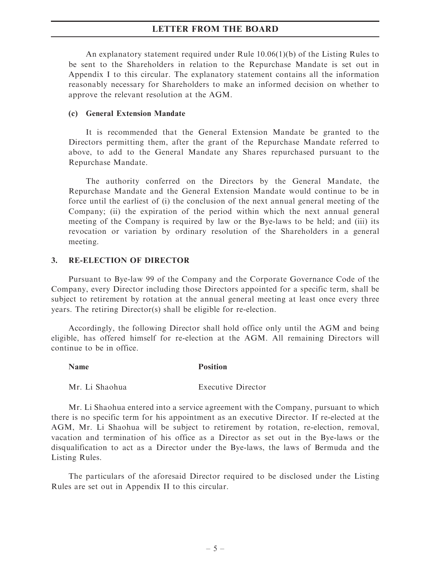An explanatory statement required under Rule 10.06(1)(b) of the Listing Rules to be sent to the Shareholders in relation to the Repurchase Mandate is set out in Appendix I to this circular. The explanatory statement contains all the information reasonably necessary for Shareholders to make an informed decision on whether to approve the relevant resolution at the AGM.

#### (c) General Extension Mandate

It is recommended that the General Extension Mandate be granted to the Directors permitting them, after the grant of the Repurchase Mandate referred to above, to add to the General Mandate any Shares repurchased pursuant to the Repurchase Mandate.

The authority conferred on the Directors by the General Mandate, the Repurchase Mandate and the General Extension Mandate would continue to be in force until the earliest of (i) the conclusion of the next annual general meeting of the Company; (ii) the expiration of the period within which the next annual general meeting of the Company is required by law or the Bye-laws to be held; and (iii) its revocation or variation by ordinary resolution of the Shareholders in a general meeting.

## 3. RE-ELECTION OF DIRECTOR

Pursuant to Bye-law 99 of the Company and the Corporate Governance Code of the Company, every Director including those Directors appointed for a specific term, shall be subject to retirement by rotation at the annual general meeting at least once every three years. The retiring Director(s) shall be eligible for re-election.

Accordingly, the following Director shall hold office only until the AGM and being eligible, has offered himself for re-election at the AGM. All remaining Directors will continue to be in office.

#### Name Position

Mr. Li Shaohua Executive Director

Mr. Li Shaohua entered into a service agreement with the Company, pursuant to which there is no specific term for his appointment as an executive Director. If re-elected at the AGM, Mr. Li Shaohua will be subject to retirement by rotation, re-election, removal, vacation and termination of his office as a Director as set out in the Bye-laws or the disqualification to act as a Director under the Bye-laws, the laws of Bermuda and the Listing Rules.

The particulars of the aforesaid Director required to be disclosed under the Listing Rules are set out in Appendix II to this circular.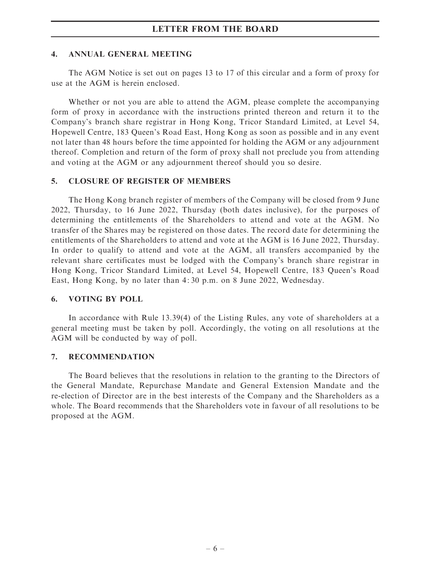#### 4. ANNUAL GENERAL MEETING

The AGM Notice is set out on pages 13 to 17 of this circular and a form of proxy for use at the AGM is herein enclosed.

Whether or not you are able to attend the AGM, please complete the accompanying form of proxy in accordance with the instructions printed thereon and return it to the Company's branch share registrar in Hong Kong, Tricor Standard Limited, at Level 54, Hopewell Centre, 183 Queen's Road East, Hong Kong as soon as possible and in any event not later than 48 hours before the time appointed for holding the AGM or any adjournment thereof. Completion and return of the form of proxy shall not preclude you from attending and voting at the AGM or any adjournment thereof should you so desire.

## 5. CLOSURE OF REGISTER OF MEMBERS

The Hong Kong branch register of members of the Company will be closed from 9 June 2022, Thursday, to 16 June 2022, Thursday (both dates inclusive), for the purposes of determining the entitlements of the Shareholders to attend and vote at the AGM. No transfer of the Shares may be registered on those dates. The record date for determining the entitlements of the Shareholders to attend and vote at the AGM is 16 June 2022, Thursday. In order to qualify to attend and vote at the AGM, all transfers accompanied by the relevant share certificates must be lodged with the Company's branch share registrar in Hong Kong, Tricor Standard Limited, at Level 54, Hopewell Centre, 183 Queen's Road East, Hong Kong, by no later than 4: 30 p.m. on 8 June 2022, Wednesday.

## 6. VOTING BY POLL

In accordance with Rule 13.39(4) of the Listing Rules, any vote of shareholders at a general meeting must be taken by poll. Accordingly, the voting on all resolutions at the AGM will be conducted by way of poll.

## 7. RECOMMENDATION

The Board believes that the resolutions in relation to the granting to the Directors of the General Mandate, Repurchase Mandate and General Extension Mandate and the re-election of Director are in the best interests of the Company and the Shareholders as a whole. The Board recommends that the Shareholders vote in favour of all resolutions to be proposed at the AGM.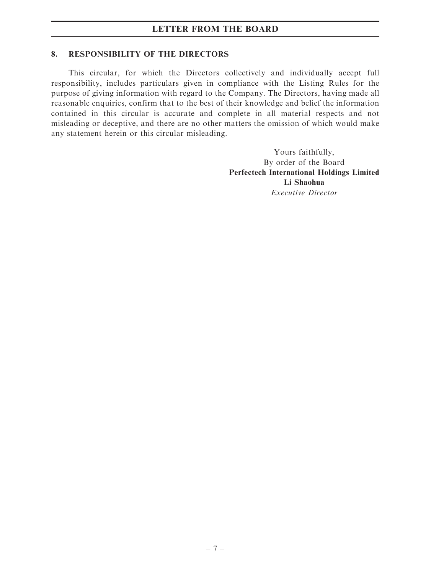#### 8. RESPONSIBILITY OF THE DIRECTORS

This circular, for which the Directors collectively and individually accept full responsibility, includes particulars given in compliance with the Listing Rules for the purpose of giving information with regard to the Company. The Directors, having made all reasonable enquiries, confirm that to the best of their knowledge and belief the information contained in this circular is accurate and complete in all material respects and not misleading or deceptive, and there are no other matters the omission of which would make any statement herein or this circular misleading.

> Yours faithfully, By order of the Board Perfectech International Holdings Limited Li Shaohua Executive Director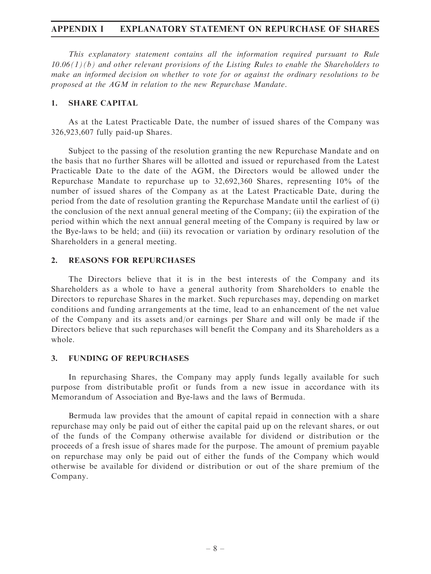## APPENDIX I EXPLANATORY STATEMENT ON REPURCHASE OF SHARES

This explanatory statement contains all the information required pursuant to Rule  $10.06(1)(b)$  and other relevant provisions of the Listing Rules to enable the Shareholders to make an informed decision on whether to vote for or against the ordinary resolutions to be proposed at the AGM in relation to the new Repurchase Mandate.

#### 1. SHARE CAPITAL

As at the Latest Practicable Date, the number of issued shares of the Company was 326,923,607 fully paid-up Shares.

Subject to the passing of the resolution granting the new Repurchase Mandate and on the basis that no further Shares will be allotted and issued or repurchased from the Latest Practicable Date to the date of the AGM, the Directors would be allowed under the Repurchase Mandate to repurchase up to 32,692,360 Shares, representing 10% of the number of issued shares of the Company as at the Latest Practicable Date, during the period from the date of resolution granting the Repurchase Mandate until the earliest of (i) the conclusion of the next annual general meeting of the Company; (ii) the expiration of the period within which the next annual general meeting of the Company is required by law or the Bye-laws to be held; and (iii) its revocation or variation by ordinary resolution of the Shareholders in a general meeting.

#### 2. REASONS FOR REPURCHASES

The Directors believe that it is in the best interests of the Company and its Shareholders as a whole to have a general authority from Shareholders to enable the Directors to repurchase Shares in the market. Such repurchases may, depending on market conditions and funding arrangements at the time, lead to an enhancement of the net value of the Company and its assets and/or earnings per Share and will only be made if the Directors believe that such repurchases will benefit the Company and its Shareholders as a whole.

#### 3. FUNDING OF REPURCHASES

In repurchasing Shares, the Company may apply funds legally available for such purpose from distributable profit or funds from a new issue in accordance with its Memorandum of Association and Bye-laws and the laws of Bermuda.

Bermuda law provides that the amount of capital repaid in connection with a share repurchase may only be paid out of either the capital paid up on the relevant shares, or out of the funds of the Company otherwise available for dividend or distribution or the proceeds of a fresh issue of shares made for the purpose. The amount of premium payable on repurchase may only be paid out of either the funds of the Company which would otherwise be available for dividend or distribution or out of the share premium of the Company.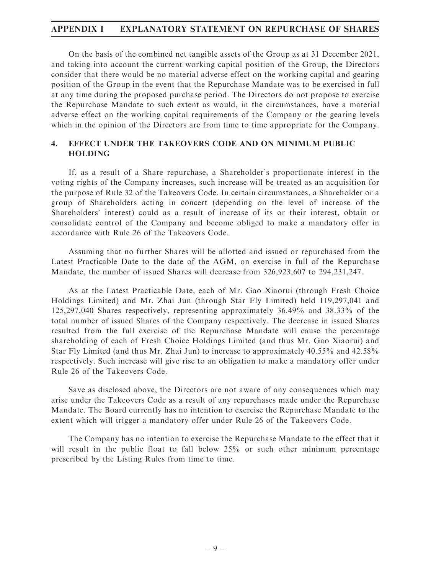## APPENDIX I EXPLANATORY STATEMENT ON REPURCHASE OF SHARES

On the basis of the combined net tangible assets of the Group as at 31 December 2021, and taking into account the current working capital position of the Group, the Directors consider that there would be no material adverse effect on the working capital and gearing position of the Group in the event that the Repurchase Mandate was to be exercised in full at any time during the proposed purchase period. The Directors do not propose to exercise the Repurchase Mandate to such extent as would, in the circumstances, have a material adverse effect on the working capital requirements of the Company or the gearing levels which in the opinion of the Directors are from time to time appropriate for the Company.

# 4. EFFECT UNDER THE TAKEOVERS CODE AND ON MINIMUM PUBLIC HOLDING

If, as a result of a Share repurchase, a Shareholder's proportionate interest in the voting rights of the Company increases, such increase will be treated as an acquisition for the purpose of Rule 32 of the Takeovers Code. In certain circumstances, a Shareholder or a group of Shareholders acting in concert (depending on the level of increase of the Shareholders' interest) could as a result of increase of its or their interest, obtain or consolidate control of the Company and become obliged to make a mandatory offer in accordance with Rule 26 of the Takeovers Code.

Assuming that no further Shares will be allotted and issued or repurchased from the Latest Practicable Date to the date of the AGM, on exercise in full of the Repurchase Mandate, the number of issued Shares will decrease from 326,923,607 to 294,231,247.

As at the Latest Practicable Date, each of Mr. Gao Xiaorui (through Fresh Choice Holdings Limited) and Mr. Zhai Jun (through Star Fly Limited) held 119,297,041 and 125,297,040 Shares respectively, representing approximately 36.49% and 38.33% of the total number of issued Shares of the Company respectively. The decrease in issued Shares resulted from the full exercise of the Repurchase Mandate will cause the percentage shareholding of each of Fresh Choice Holdings Limited (and thus Mr. Gao Xiaorui) and Star Fly Limited (and thus Mr. Zhai Jun) to increase to approximately 40.55% and 42.58% respectively. Such increase will give rise to an obligation to make a mandatory offer under Rule 26 of the Takeovers Code.

Save as disclosed above, the Directors are not aware of any consequences which may arise under the Takeovers Code as a result of any repurchases made under the Repurchase Mandate. The Board currently has no intention to exercise the Repurchase Mandate to the extent which will trigger a mandatory offer under Rule 26 of the Takeovers Code.

The Company has no intention to exercise the Repurchase Mandate to the effect that it will result in the public float to fall below 25% or such other minimum percentage prescribed by the Listing Rules from time to time.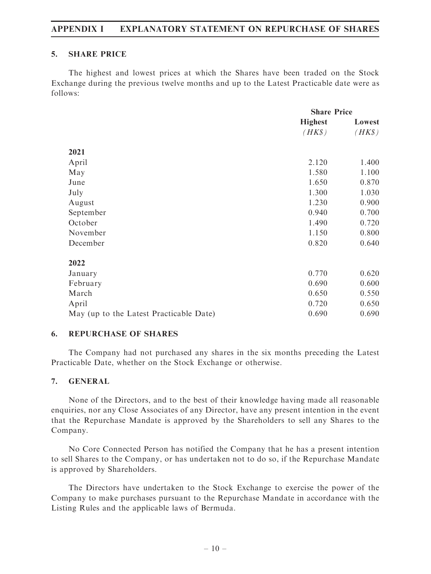# APPENDIX I EXPLANATORY STATEMENT ON REPURCHASE OF SHARES

#### 5. SHARE PRICE

The highest and lowest prices at which the Shares have been traded on the Stock Exchange during the previous twelve months and up to the Latest Practicable date were as follows:

|                                         | <b>Share Price</b> |        |
|-----------------------------------------|--------------------|--------|
|                                         | <b>Highest</b>     | Lowest |
|                                         | $(HK\$             | $(HK\$ |
| 2021                                    |                    |        |
| April                                   | 2.120              | 1.400  |
| May                                     | 1.580              | 1.100  |
| June                                    | 1.650              | 0.870  |
| July                                    | 1.300              | 1.030  |
| August                                  | 1.230              | 0.900  |
| September                               | 0.940              | 0.700  |
| October                                 | 1.490              | 0.720  |
| November                                | 1.150              | 0.800  |
| December                                | 0.820              | 0.640  |
| 2022                                    |                    |        |
| January                                 | 0.770              | 0.620  |
| February                                | 0.690              | 0.600  |
| March                                   | 0.650              | 0.550  |
| April                                   | 0.720              | 0.650  |
| May (up to the Latest Practicable Date) | 0.690              | 0.690  |

## 6. REPURCHASE OF SHARES

The Company had not purchased any shares in the six months preceding the Latest Practicable Date, whether on the Stock Exchange or otherwise.

## 7. GENERAL

None of the Directors, and to the best of their knowledge having made all reasonable enquiries, nor any Close Associates of any Director, have any present intention in the event that the Repurchase Mandate is approved by the Shareholders to sell any Shares to the Company.

No Core Connected Person has notified the Company that he has a present intention to sell Shares to the Company, or has undertaken not to do so, if the Repurchase Mandate is approved by Shareholders.

The Directors have undertaken to the Stock Exchange to exercise the power of the Company to make purchases pursuant to the Repurchase Mandate in accordance with the Listing Rules and the applicable laws of Bermuda.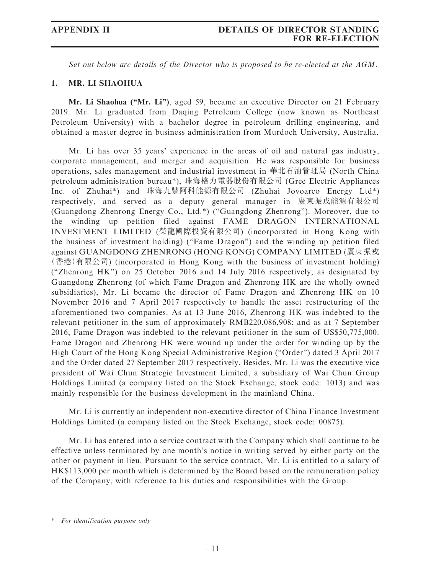Set out below are details of the Director who is proposed to be re-elected at the AGM.

#### 1. MR. LI SHAOHUA

Mr. Li Shaohua ("Mr. Li"), aged 59, became an executive Director on 21 February 2019. Mr. Li graduated from Daqing Petroleum College (now known as Northeast Petroleum University) with a bachelor degree in petroleum drilling engineering, and obtained a master degree in business administration from Murdoch University, Australia.

Mr. Li has over 35 years' experience in the areas of oil and natural gas industry, corporate management, and merger and acquisition. He was responsible for business operations, sales management and industrial investment in 華北石油管理局 (North China petroleum administration bureau\*), 珠海格力電器股份有限公司 (Gree Electric Appliances Inc. of Zhuhai\*) and 珠海九豐阿科能源有限公司 (Zhuhai Jovoarco Energy Ltd\*) respectively, and served as a deputy general manager in 廣東振戎能源有限公司 (Guangdong Zhenrong Energy Co., Ltd.\*) (''Guangdong Zhenrong''). Moreover, due to the winding up petition filed against FAME DRAGON INTERNATIONAL INVESTMENT LIMITED (榮龍國際投資有限公司) (incorporated in Hong Kong with the business of investment holding) (''Fame Dragon'') and the winding up petition filed against GUANGDONG ZHENRONG (HONG KONG) COMPANY LIMITED (廣東振戎 (香港)有限公司) (incorporated in Hong Kong with the business of investment holding) (''Zhenrong HK'') on 25 October 2016 and 14 July 2016 respectively, as designated by Guangdong Zhenrong (of which Fame Dragon and Zhenrong HK are the wholly owned subsidiaries), Mr. Li became the director of Fame Dragon and Zhenrong HK on 10 November 2016 and 7 April 2017 respectively to handle the asset restructuring of the aforementioned two companies. As at 13 June 2016, Zhenrong HK was indebted to the relevant petitioner in the sum of approximately RMB220,086,908; and as at 7 September 2016, Fame Dragon was indebted to the relevant petitioner in the sum of US\$50,775,000. Fame Dragon and Zhenrong HK were wound up under the order for winding up by the High Court of the Hong Kong Special Administrative Region (''Order'') dated 3 April 2017 and the Order dated 27 September 2017 respectively. Besides, Mr. Li was the executive vice president of Wai Chun Strategic Investment Limited, a subsidiary of Wai Chun Group Holdings Limited (a company listed on the Stock Exchange, stock code: 1013) and was mainly responsible for the business development in the mainland China.

Mr. Li is currently an independent non-executive director of China Finance Investment Holdings Limited (a company listed on the Stock Exchange, stock code: 00875).

Mr. Li has entered into a service contract with the Company which shall continue to be effective unless terminated by one month's notice in writing served by either party on the other or payment in lieu. Pursuant to the service contract, Mr. Li is entitled to a salary of HK\$113,000 per month which is determined by the Board based on the remuneration policy of the Company, with reference to his duties and responsibilities with the Group.

<sup>\*</sup> For identification purpose only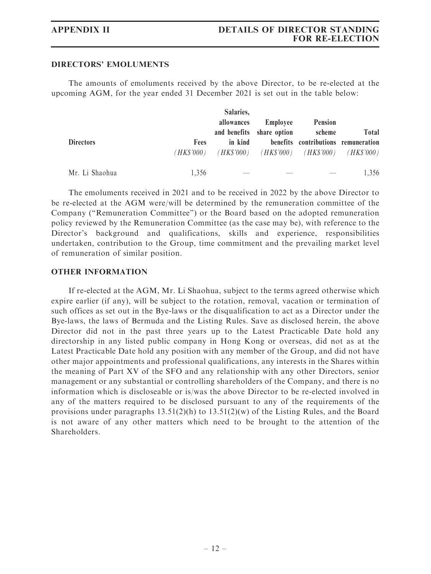#### DIRECTORS' EMOLUMENTS

The amounts of emoluments received by the above Director, to be re-elected at the upcoming AGM, for the year ended 31 December 2021 is set out in the table below:

|                  |                                               | Salaries,                                       |                                       |                          |              |
|------------------|-----------------------------------------------|-------------------------------------------------|---------------------------------------|--------------------------|--------------|
|                  |                                               | allowances                                      | Employee<br>and benefits share option | <b>Pension</b><br>scheme | <b>Total</b> |
| <b>Directors</b> | in kind<br><b>Fees</b><br>( <i>HK\$'000</i> ) | $(HK$'000)$ $(HK$'000)$ $(HK$'000)$ $(HK$'000)$ | benefits contributions remuneration   |                          |              |
| Mr. Li Shaohua   | 1.356                                         |                                                 |                                       |                          | 1,356        |

The emoluments received in 2021 and to be received in 2022 by the above Director to be re-elected at the AGM were/will be determined by the remuneration committee of the Company (''Remuneration Committee'') or the Board based on the adopted remuneration policy reviewed by the Remuneration Committee (as the case may be), with reference to the Director's background and qualifications, skills and experience, responsibilities undertaken, contribution to the Group, time commitment and the prevailing market level of remuneration of similar position.

#### OTHER INFORMATION

If re-elected at the AGM, Mr. Li Shaohua, subject to the terms agreed otherwise which expire earlier (if any), will be subject to the rotation, removal, vacation or termination of such offices as set out in the Bye-laws or the disqualification to act as a Director under the Bye-laws, the laws of Bermuda and the Listing Rules. Save as disclosed herein, the above Director did not in the past three years up to the Latest Practicable Date hold any directorship in any listed public company in Hong Kong or overseas, did not as at the Latest Practicable Date hold any position with any member of the Group, and did not have other major appointments and professional qualifications, any interests in the Shares within the meaning of Part XV of the SFO and any relationship with any other Directors, senior management or any substantial or controlling shareholders of the Company, and there is no information which is discloseable or is/was the above Director to be re-elected involved in any of the matters required to be disclosed pursuant to any of the requirements of the provisions under paragraphs  $13.51(2)(h)$  to  $13.51(2)(w)$  of the Listing Rules, and the Board is not aware of any other matters which need to be brought to the attention of the Shareholders.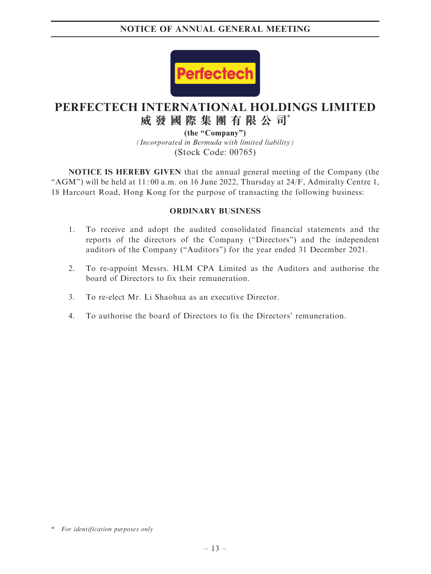

# **PERFECTECH INTERNATIONAL HOLDINGS LIMITED 威發國際集團有限公司**\*

*(Incorporated in Bermuda with limited liability)* (Stock Code: 00765) **(the "Company")**

NOTICE IS HEREBY GIVEN that the annual general meeting of the Company (the "AGM") will be held at  $11:00$  a.m. on 16 June 2022, Thursday at  $24/F$ , Admiralty Centre 1, 18 Harcourt Road, Hong Kong for the purpose of transacting the following business:

## ORDINARY BUSINESS

- 1. To receive and adopt the audited consolidated financial statements and the reports of the directors of the Company (''Directors'') and the independent auditors of the Company (''Auditors'') for the year ended 31 December 2021.
- 2. To re-appoint Messrs. HLM CPA Limited as the Auditors and authorise the board of Directors to fix their remuneration.
- 3. To re-elect Mr. Li Shaohua as an executive Director.
- 4. To authorise the board of Directors to fix the Directors' remuneration.

<sup>\*</sup> For identification purposes only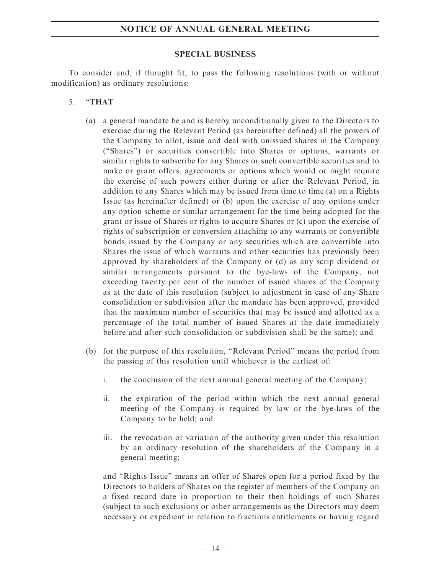#### SPECIAL BUSINESS

To consider and, if thought fit, to pass the following resolutions (with or without modification) as ordinary resolutions:

- 5. ''THAT
	- (a) a general mandate be and is hereby unconditionally given to the Directors to exercise during the Relevant Period (as hereinafter defined) all the powers of the Company to allot, issue and deal with unissued shares in the Company (''Shares'') or securities convertible into Shares or options, warrants or similar rights to subscribe for any Shares or such convertible securities and to make or grant offers, agreements or options which would or might require the exercise of such powers either during or after the Relevant Period, in addition to any Shares which may be issued from time to time (a) on a Rights Issue (as hereinafter defined) or (b) upon the exercise of any options under any option scheme or similar arrangement for the time being adopted for the grant or issue of Shares or rights to acquire Shares or (c) upon the exercise of rights of subscription or conversion attaching to any warrants or convertible bonds issued by the Company or any securities which are convertible into Shares the issue of which warrants and other securities has previously been approved by shareholders of the Company or (d) as any scrip dividend or similar arrangements pursuant to the bye-laws of the Company, not exceeding twenty per cent of the number of issued shares of the Company as at the date of this resolution (subject to adjustment in case of any Share consolidation or subdivision after the mandate has been approved, provided that the maximum number of securities that may be issued and allotted as a percentage of the total number of issued Shares at the date immediately before and after such consolidation or subdivision shall be the same); and
	- (b) for the purpose of this resolution, ''Relevant Period'' means the period from the passing of this resolution until whichever is the earliest of:
		- i. the conclusion of the next annual general meeting of the Company;
		- ii. the expiration of the period within which the next annual general meeting of the Company is required by law or the bye-laws of the Company to be held; and
		- iii. the revocation or variation of the authority given under this resolution by an ordinary resolution of the shareholders of the Company in a general meeting;

and ''Rights Issue'' means an offer of Shares open for a period fixed by the Directors to holders of Shares on the register of members of the Company on a fixed record date in proportion to their then holdings of such Shares (subject to such exclusions or other arrangements as the Directors may deem necessary or expedient in relation to fractions entitlements or having regard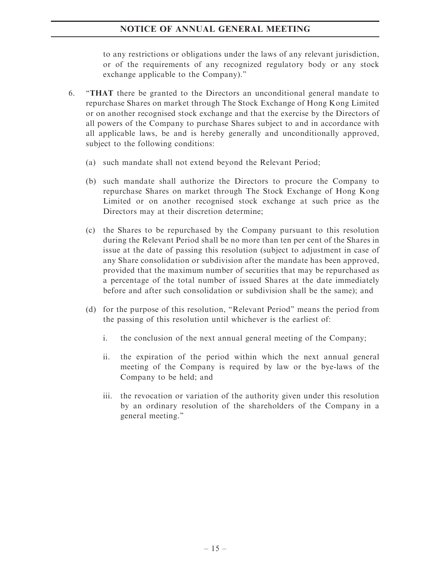to any restrictions or obligations under the laws of any relevant jurisdiction, or of the requirements of any recognized regulatory body or any stock exchange applicable to the Company).''

- 6. ''THAT there be granted to the Directors an unconditional general mandate to repurchase Shares on market through The Stock Exchange of Hong Kong Limited or on another recognised stock exchange and that the exercise by the Directors of all powers of the Company to purchase Shares subject to and in accordance with all applicable laws, be and is hereby generally and unconditionally approved, subject to the following conditions:
	- (a) such mandate shall not extend beyond the Relevant Period;
	- (b) such mandate shall authorize the Directors to procure the Company to repurchase Shares on market through The Stock Exchange of Hong Kong Limited or on another recognised stock exchange at such price as the Directors may at their discretion determine;
	- (c) the Shares to be repurchased by the Company pursuant to this resolution during the Relevant Period shall be no more than ten per cent of the Shares in issue at the date of passing this resolution (subject to adjustment in case of any Share consolidation or subdivision after the mandate has been approved, provided that the maximum number of securities that may be repurchased as a percentage of the total number of issued Shares at the date immediately before and after such consolidation or subdivision shall be the same); and
	- (d) for the purpose of this resolution, ''Relevant Period'' means the period from the passing of this resolution until whichever is the earliest of:
		- i. the conclusion of the next annual general meeting of the Company;
		- ii. the expiration of the period within which the next annual general meeting of the Company is required by law or the bye-laws of the Company to be held; and
		- iii. the revocation or variation of the authority given under this resolution by an ordinary resolution of the shareholders of the Company in a general meeting.''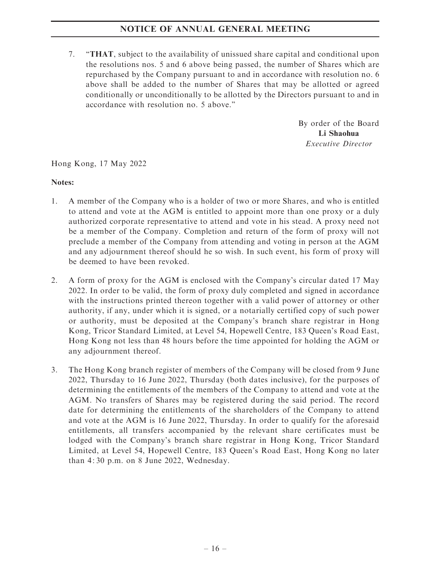7. ''THAT, subject to the availability of unissued share capital and conditional upon the resolutions nos. 5 and 6 above being passed, the number of Shares which are repurchased by the Company pursuant to and in accordance with resolution no. 6 above shall be added to the number of Shares that may be allotted or agreed conditionally or unconditionally to be allotted by the Directors pursuant to and in accordance with resolution no. 5 above.''

> By order of the Board Li Shaohua Executive Director

Hong Kong, 17 May 2022

## Notes:

- 1. A member of the Company who is a holder of two or more Shares, and who is entitled to attend and vote at the AGM is entitled to appoint more than one proxy or a duly authorized corporate representative to attend and vote in his stead. A proxy need not be a member of the Company. Completion and return of the form of proxy will not preclude a member of the Company from attending and voting in person at the AGM and any adjournment thereof should he so wish. In such event, his form of proxy will be deemed to have been revoked.
- 2. A form of proxy for the AGM is enclosed with the Company's circular dated 17 May 2022. In order to be valid, the form of proxy duly completed and signed in accordance with the instructions printed thereon together with a valid power of attorney or other authority, if any, under which it is signed, or a notarially certified copy of such power or authority, must be deposited at the Company's branch share registrar in Hong Kong, Tricor Standard Limited, at Level 54, Hopewell Centre, 183 Queen's Road East, Hong Kong not less than 48 hours before the time appointed for holding the AGM or any adjournment thereof.
- 3. The Hong Kong branch register of members of the Company will be closed from 9 June 2022, Thursday to 16 June 2022, Thursday (both dates inclusive), for the purposes of determining the entitlements of the members of the Company to attend and vote at the AGM. No transfers of Shares may be registered during the said period. The record date for determining the entitlements of the shareholders of the Company to attend and vote at the AGM is 16 June 2022, Thursday. In order to qualify for the aforesaid entitlements, all transfers accompanied by the relevant share certificates must be lodged with the Company's branch share registrar in Hong Kong, Tricor Standard Limited, at Level 54, Hopewell Centre, 183 Queen's Road East, Hong Kong no later than 4: 30 p.m. on 8 June 2022, Wednesday.